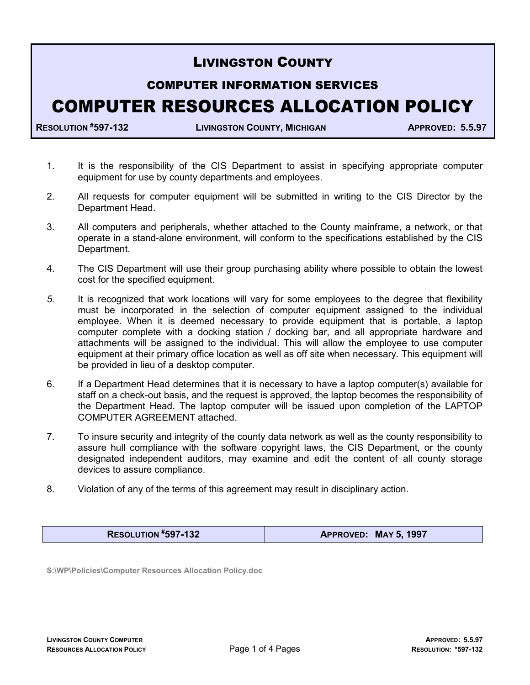## LIVINGSTON COUNTY

## COMPUTER INFORMATION SERVICES COMPUTER RESOURCES ALLOCATION POLICY

RESOLUTION #597-132 LIVINGSTON COUNTY, MICHIGAN APPROVED: 5.5.97

- 1. It is the responsibility of the CIS Department to assist in specifying appropriate computer equipment for use by county departments and employees.
- 2. All requests for computer equipment will be submitted in writing to the CIS Director by the Department Head.
- 3. All computers and peripherals, whether attached to the County mainframe, a network, or that operate in a stand-alone environment, will conform to the specifications established by the CIS Department.
- 4. The CIS Department will use their group purchasing ability where possible to obtain the lowest cost for the specified equipment.
- 5. It is recognized that work locations will vary for some employees to the degree that flexibility must be incorporated in the selection of computer equipment assigned to the individual employee. When it is deemed necessary to provide equipment that is portable, a laptop computer complete with a docking station / docking bar, and all appropriate hardware and attachments will be assigned to the individual. This will allow the employee to use computer equipment at their primary office location as well as off site when necessary. This equipment will be provided in lieu of a desktop computer.
- 6. If a Department Head determines that it is necessary to have a laptop computer(s) available for staff on a check-out basis, and the request is approved, the laptop becomes the responsibility of the Department Head. The laptop computer will be issued upon completion of the LAPTOP COMPUTER AGREEMENT attached.
- 7. To insure security and integrity of the county data network as well as the county responsibility to assure hull compliance with the software copyright laws, the CIS Department, or the county designated independent auditors, may examine and edit the content of all county storage devices to assure compliance.
- 8. Violation of any of the terms of this agreement may result in disciplinary action.

RESOLUTION #597-132 **APPROVED: MAY 5, 1997** 

S:\WP\Policies\Computer Resources Allocation Policy.doc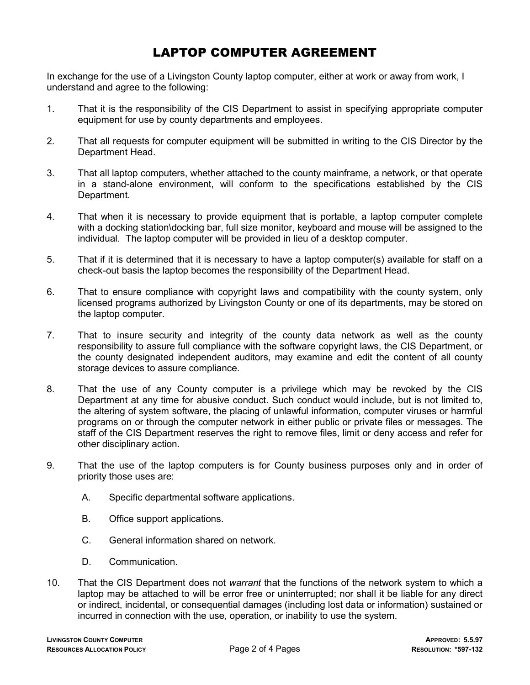## LAPTOP COMPUTER AGREEMENT

In exchange for the use of a Livingston County laptop computer, either at work or away from work, I understand and agree to the following:

- 1. That it is the responsibility of the CIS Department to assist in specifying appropriate computer equipment for use by county departments and employees.
- 2. That all requests for computer equipment will be submitted in writing to the CIS Director by the Department Head.
- 3. That all laptop computers, whether attached to the county mainframe, a network, or that operate in a stand-alone environment, will conform to the specifications established by the CIS Department.
- 4. That when it is necessary to provide equipment that is portable, a laptop computer complete with a docking station\docking bar, full size monitor, keyboard and mouse will be assigned to the individual. The laptop computer will be provided in lieu of a desktop computer.
- 5. That if it is determined that it is necessary to have a laptop computer(s) available for staff on a check-out basis the laptop becomes the responsibility of the Department Head.
- 6. That to ensure compliance with copyright laws and compatibility with the county system, only licensed programs authorized by Livingston County or one of its departments, may be stored on the laptop computer.
- 7. That to insure security and integrity of the county data network as well as the county responsibility to assure full compliance with the software copyright laws, the CIS Department, or the county designated independent auditors, may examine and edit the content of all county storage devices to assure compliance.
- 8. That the use of any County computer is a privilege which may be revoked by the CIS Department at any time for abusive conduct. Such conduct would include, but is not limited to, the altering of system software, the placing of unlawful information, computer viruses or harmful programs on or through the computer network in either public or private files or messages. The staff of the CIS Department reserves the right to remove files, limit or deny access and refer for other disciplinary action.
- 9. That the use of the laptop computers is for County business purposes only and in order of priority those uses are:
	- A. Specific departmental software applications.
	- B. Office support applications.
	- C. General information shared on network.
	- D. Communication.
- 10. That the CIS Department does not warrant that the functions of the network system to which a laptop may be attached to will be error free or uninterrupted; nor shall it be liable for any direct or indirect, incidental, or consequential damages (including lost data or information) sustained or incurred in connection with the use, operation, or inability to use the system.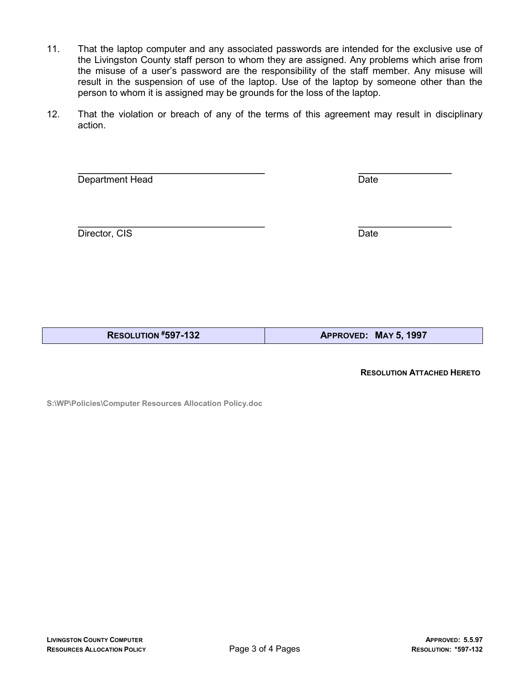- 11. That the laptop computer and any associated passwords are intended for the exclusive use of the Livingston County staff person to whom they are assigned. Any problems which arise from the misuse of a user's password are the responsibility of the staff member. Any misuse will result in the suspension of use of the laptop. Use of the laptop by someone other than the person to whom it is assigned may be grounds for the loss of the laptop.
- 12. That the violation or breach of any of the terms of this agreement may result in disciplinary action.

 $\overline{a}$ Department Head Date

 $\overline{a}$ Director, CIS Date

RESOLUTION #597-132 **APPROVED: MAY 5, 1997** 

RESOLUTION ATTACHED HERETO

S:\WP\Policies\Computer Resources Allocation Policy.doc